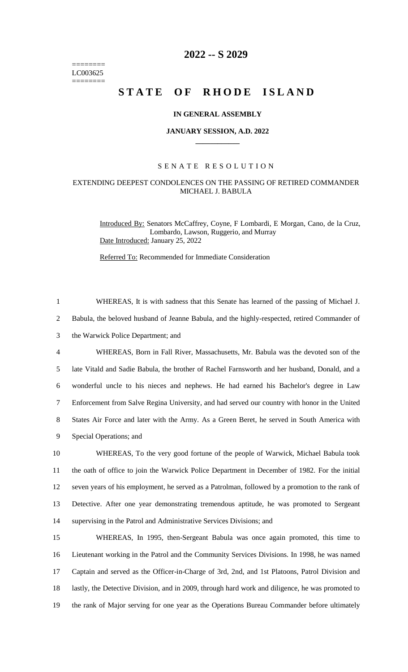======== LC003625 ========

## **2022 -- S 2029**

# **STATE OF RHODE ISLAND**

#### **IN GENERAL ASSEMBLY**

#### **JANUARY SESSION, A.D. 2022 \_\_\_\_\_\_\_\_\_\_\_\_**

#### S E N A T E R E S O L U T I O N

### EXTENDING DEEPEST CONDOLENCES ON THE PASSING OF RETIRED COMMANDER MICHAEL J. BABULA

1 WHEREAS, It is with sadness that this Senate has learned of the passing of Michael J.

Introduced By: Senators McCaffrey, Coyne, F Lombardi, E Morgan, Cano, de la Cruz, Lombardo, Lawson, Ruggerio, and Murray Date Introduced: January 25, 2022

Referred To: Recommended for Immediate Consideration

 Babula, the beloved husband of Jeanne Babula, and the highly-respected, retired Commander of the Warwick Police Department; and WHEREAS, Born in Fall River, Massachusetts, Mr. Babula was the devoted son of the late Vitald and Sadie Babula, the brother of Rachel Farnsworth and her husband, Donald, and a wonderful uncle to his nieces and nephews. He had earned his Bachelor's degree in Law Enforcement from Salve Regina University, and had served our country with honor in the United States Air Force and later with the Army. As a Green Beret, he served in South America with Special Operations; and WHEREAS, To the very good fortune of the people of Warwick, Michael Babula took the oath of office to join the Warwick Police Department in December of 1982. For the initial seven years of his employment, he served as a Patrolman, followed by a promotion to the rank of Detective. After one year demonstrating tremendous aptitude, he was promoted to Sergeant supervising in the Patrol and Administrative Services Divisions; and WHEREAS, In 1995, then-Sergeant Babula was once again promoted, this time to Lieutenant working in the Patrol and the Community Services Divisions. In 1998, he was named Captain and served as the Officer-in-Charge of 3rd, 2nd, and 1st Platoons, Patrol Division and 18 lastly, the Detective Division, and in 2009, through hard work and diligence, he was promoted to the rank of Major serving for one year as the Operations Bureau Commander before ultimately